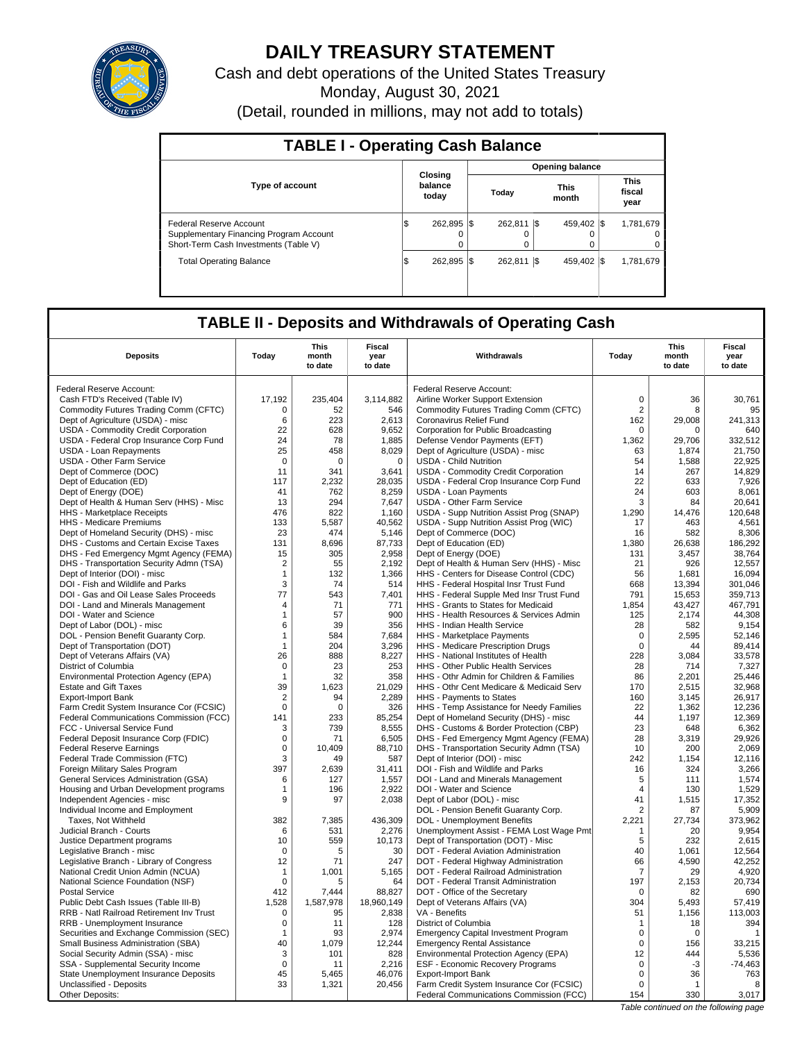

# **DAILY TREASURY STATEMENT**

Cash and debt operations of the United States Treasury Monday, August 30, 2021

(Detail, rounded in millions, may not add to totals)

| <b>TABLE I - Operating Cash Balance</b>                                                                     |                                   |                       |       |              |                      |             |  |                               |  |  |
|-------------------------------------------------------------------------------------------------------------|-----------------------------------|-----------------------|-------|--------------|----------------------|-------------|--|-------------------------------|--|--|
|                                                                                                             | <b>Opening balance</b><br>Closing |                       |       |              |                      |             |  |                               |  |  |
| <b>Type of account</b>                                                                                      | balance                           |                       | Today |              | <b>This</b><br>month |             |  | <b>This</b><br>fiscal<br>year |  |  |
| Federal Reserve Account<br>Supplementary Financing Program Account<br>Short-Term Cash Investments (Table V) | 1\$                               | 262.895 \\$<br>0<br>0 |       | 262.811<br>0 | - IS                 | 459.402 \\$ |  | 1,781,679<br>0<br>0           |  |  |
| <b>Total Operating Balance</b>                                                                              | 1\$                               | 262.895 \\$           |       | 262.811      | I\$                  | 459.402 \\$ |  | 1,781,679                     |  |  |

## **TABLE II - Deposits and Withdrawals of Operating Cash**

| <b>Deposits</b>                                                                | Todav             | This<br>month<br>to date | Fiscal<br>year<br>to date | <b>Withdrawals</b>                                                                 | Todav              | This<br>month<br>to date | Fiscal<br>year<br>to date |
|--------------------------------------------------------------------------------|-------------------|--------------------------|---------------------------|------------------------------------------------------------------------------------|--------------------|--------------------------|---------------------------|
|                                                                                |                   |                          |                           |                                                                                    |                    |                          |                           |
| Federal Reserve Account:                                                       |                   |                          |                           | Federal Reserve Account:                                                           |                    |                          |                           |
| Cash FTD's Received (Table IV)                                                 | 17,192            | 235,404                  | 3,114,882                 | Airline Worker Support Extension                                                   | $\mathbf 0$        | 36                       | 30,761                    |
| Commodity Futures Trading Comm (CFTC)                                          | $\mathbf 0$       | 52                       | 546                       | Commodity Futures Trading Comm (CFTC)                                              | $\overline{2}$     | 8                        | 95                        |
| Dept of Agriculture (USDA) - misc                                              | 6<br>22           | 223<br>628               | 2,613<br>9.652            | Coronavirus Relief Fund                                                            | 162<br>$\mathbf 0$ | 29,008<br>$\Omega$       | 241,313<br>640            |
| USDA - Commodity Credit Corporation<br>USDA - Federal Crop Insurance Corp Fund | 24                | 78                       | 1,885                     | Corporation for Public Broadcasting<br>Defense Vendor Payments (EFT)               | 1,362              | 29,706                   | 332,512                   |
| USDA - Loan Repayments                                                         | 25                | 458                      | 8.029                     | Dept of Agriculture (USDA) - misc                                                  | 63                 | 1.874                    | 21.750                    |
| <b>USDA - Other Farm Service</b>                                               | $\mathbf 0$       | $\mathbf 0$              | $\mathbf 0$               | <b>USDA - Child Nutrition</b>                                                      | 54                 | 1,588                    | 22,925                    |
| Dept of Commerce (DOC)                                                         | 11                | 341                      | 3,641                     | USDA - Commodity Credit Corporation                                                | 14                 | 267                      | 14,829                    |
| Dept of Education (ED)                                                         | 117               | 2,232                    | 28,035                    | USDA - Federal Crop Insurance Corp Fund                                            | 22                 | 633                      | 7,926                     |
| Dept of Energy (DOE)                                                           | 41                | 762                      | 8,259                     | <b>USDA - Loan Payments</b>                                                        | 24                 | 603                      | 8,061                     |
| Dept of Health & Human Serv (HHS) - Misc                                       | 13                | 294                      | 7,647                     | <b>USDA - Other Farm Service</b>                                                   | 3                  | 84                       | 20,641                    |
| HHS - Marketplace Receipts                                                     | 476               | 822                      | 1,160                     | USDA - Supp Nutrition Assist Prog (SNAP)                                           | 1.290              | 14.476                   | 120,648                   |
| HHS - Medicare Premiums                                                        | 133               | 5,587                    | 40,562                    | USDA - Supp Nutrition Assist Prog (WIC)                                            | 17                 | 463                      | 4,561                     |
| Dept of Homeland Security (DHS) - misc                                         | 23                | 474                      | 5,146                     | Dept of Commerce (DOC)                                                             | 16                 | 582                      | 8,306                     |
| DHS - Customs and Certain Excise Taxes                                         | 131               | 8,696                    | 87,733                    | Dept of Education (ED)                                                             | 1,380              | 26,638                   | 186,292                   |
| DHS - Fed Emergency Mgmt Agency (FEMA)                                         | 15                | 305                      | 2,958                     | Dept of Energy (DOE)                                                               | 131                | 3.457                    | 38.764                    |
| DHS - Transportation Security Admn (TSA)                                       | $\overline{2}$    | 55                       | 2,192                     | Dept of Health & Human Serv (HHS) - Misc                                           | 21                 | 926                      | 12,557                    |
| Dept of Interior (DOI) - misc<br>DOI - Fish and Wildlife and Parks             | $\mathbf{1}$<br>3 | 132<br>74                | 1,366<br>514              | HHS - Centers for Disease Control (CDC)                                            | 56<br>668          | 1.681<br>13,394          | 16.094<br>301,046         |
| DOI - Gas and Oil Lease Sales Proceeds                                         | 77                | 543                      | 7,401                     | HHS - Federal Hospital Insr Trust Fund<br>HHS - Federal Supple Med Insr Trust Fund | 791                | 15,653                   | 359.713                   |
| DOI - Land and Minerals Management                                             | 4                 | 71                       | 771                       | HHS - Grants to States for Medicaid                                                | 1,854              | 43,427                   | 467,791                   |
| DOI - Water and Science                                                        | $\mathbf 1$       | 57                       | 900                       | HHS - Health Resources & Services Admin                                            | 125                | 2,174                    | 44,308                    |
| Dept of Labor (DOL) - misc                                                     | 6                 | 39                       | 356                       | <b>HHS - Indian Health Service</b>                                                 | 28                 | 582                      | 9,154                     |
| DOL - Pension Benefit Guaranty Corp.                                           | $\mathbf 1$       | 584                      | 7,684                     | HHS - Marketplace Payments                                                         | $\mathbf 0$        | 2,595                    | 52,146                    |
| Dept of Transportation (DOT)                                                   | $\mathbf{1}$      | 204                      | 3,296                     | HHS - Medicare Prescription Drugs                                                  | $\mathbf 0$        | 44                       | 89,414                    |
| Dept of Veterans Affairs (VA)                                                  | 26                | 888                      | 8.227                     | HHS - National Institutes of Health                                                | 228                | 3,084                    | 33,578                    |
| District of Columbia                                                           | $\mathbf 0$       | 23                       | 253                       | HHS - Other Public Health Services                                                 | 28                 | 714                      | 7,327                     |
| Environmental Protection Agency (EPA)                                          | $\mathbf{1}$      | 32                       | 358                       | HHS - Othr Admin for Children & Families                                           | 86                 | 2,201                    | 25,446                    |
| <b>Estate and Gift Taxes</b>                                                   | 39                | 1,623                    | 21,029                    | HHS - Othr Cent Medicare & Medicaid Serv                                           | 170                | 2,515                    | 32,968                    |
| <b>Export-Import Bank</b>                                                      | $\overline{2}$    | 94                       | 2,289                     | HHS - Payments to States                                                           | 160                | 3.145                    | 26.917                    |
| Farm Credit System Insurance Cor (FCSIC)                                       | $\mathsf 0$       | $\mathbf 0$              | 326                       | HHS - Temp Assistance for Needy Families                                           | 22                 | 1,362                    | 12,236                    |
| Federal Communications Commission (FCC)                                        | 141               | 233                      | 85,254                    | Dept of Homeland Security (DHS) - misc                                             | 44                 | 1.197                    | 12.369                    |
| FCC - Universal Service Fund                                                   | 3                 | 739                      | 8,555                     | DHS - Customs & Border Protection (CBP)                                            | 23                 | 648                      | 6,362                     |
| Federal Deposit Insurance Corp (FDIC)                                          | $\mathbf 0$       | 71                       | 6,505                     | DHS - Fed Emergency Mgmt Agency (FEMA)                                             | 28                 | 3,319                    | 29,926                    |
| <b>Federal Reserve Earnings</b>                                                | $\mathbf 0$<br>3  | 10,409<br>49             | 88,710                    | DHS - Transportation Security Admn (TSA)                                           | 10<br>242          | 200                      | 2,069                     |
| Federal Trade Commission (FTC)<br>Foreign Military Sales Program               | 397               | 2,639                    | 587<br>31.411             | Dept of Interior (DOI) - misc<br>DOI - Fish and Wildlife and Parks                 | 16                 | 1,154<br>324             | 12,116<br>3,266           |
| General Services Administration (GSA)                                          | 6                 | 127                      | 1,557                     | DOI - Land and Minerals Management                                                 | 5                  | 111                      | 1,574                     |
| Housing and Urban Development programs                                         | $\mathbf{1}$      | 196                      | 2,922                     | DOI - Water and Science                                                            | $\overline{4}$     | 130                      | 1,529                     |
| Independent Agencies - misc                                                    | 9                 | 97                       | 2,038                     | Dept of Labor (DOL) - misc                                                         | 41                 | 1.515                    | 17,352                    |
| Individual Income and Employment                                               |                   |                          |                           | DOL - Pension Benefit Guaranty Corp.                                               | $\overline{2}$     | 87                       | 5,909                     |
| Taxes. Not Withheld                                                            | 382               | 7.385                    | 436,309                   | DOL - Unemployment Benefits                                                        | 2,221              | 27,734                   | 373.962                   |
| Judicial Branch - Courts                                                       | 6                 | 531                      | 2,276                     | Unemployment Assist - FEMA Lost Wage Pmt                                           | $\mathbf 1$        | 20                       | 9,954                     |
| Justice Department programs                                                    | 10                | 559                      | 10.173                    | Dept of Transportation (DOT) - Misc                                                | 5                  | 232                      | 2.615                     |
| Legislative Branch - misc                                                      | $\mathbf 0$       | 5                        | 30                        | DOT - Federal Aviation Administration                                              | 40                 | 1,061                    | 12,564                    |
| Legislative Branch - Library of Congress                                       | 12                | 71                       | 247                       | DOT - Federal Highway Administration                                               | 66                 | 4.590                    | 42.252                    |
| National Credit Union Admin (NCUA)                                             | $\mathbf{1}$      | 1,001                    | 5,165                     | DOT - Federal Railroad Administration                                              | 7                  | 29                       | 4,920                     |
| National Science Foundation (NSF)                                              | $\mathbf 0$       | 5                        | 64                        | DOT - Federal Transit Administration                                               | 197                | 2,153                    | 20,734                    |
| <b>Postal Service</b>                                                          | 412               | 7,444                    | 88,827                    | DOT - Office of the Secretary                                                      | $\mathbf 0$        | 82                       | 690                       |
| Public Debt Cash Issues (Table III-B)                                          | 1,528             | 1,587,978                | 18,960,149                | Dept of Veterans Affairs (VA)                                                      | 304                | 5,493                    | 57,419                    |
| RRB - Natl Railroad Retirement Inv Trust                                       | $\mathbf 0$       | 95                       | 2,838                     | VA - Benefits                                                                      | 51                 | 1,156                    | 113,003                   |
| RRB - Unemployment Insurance<br>Securities and Exchange Commission (SEC)       | $\mathbf 0$<br>-1 | 11<br>93                 | 128<br>2,974              | District of Columbia<br><b>Emergency Capital Investment Program</b>                | 1<br>$\Omega$      | 18<br>$\Omega$           | 394<br>$\overline{1}$     |
| Small Business Administration (SBA)                                            | 40                | 1.079                    | 12,244                    | <b>Emergency Rental Assistance</b>                                                 | $\mathbf 0$        | 156                      | 33,215                    |
| Social Security Admin (SSA) - misc                                             | 3                 | 101                      | 828                       | Environmental Protection Agency (EPA)                                              | 12                 | 444                      | 5,536                     |
| SSA - Supplemental Security Income                                             | $\mathbf 0$       | 11                       | 2,216                     | ESF - Economic Recovery Programs                                                   | $\mathbf 0$        | $-3$                     | $-74.463$                 |
| State Unemployment Insurance Deposits                                          | 45                | 5,465                    | 46,076                    | <b>Export-Import Bank</b>                                                          | $\mathsf 0$        | 36                       | 763                       |
| Unclassified - Deposits                                                        | 33                | 1,321                    | 20,456                    | Farm Credit System Insurance Cor (FCSIC)                                           | $\Omega$           | $\mathbf{1}$             | 8                         |
| Other Deposits:                                                                |                   |                          |                           | Federal Communications Commission (FCC)                                            | 154                | 330                      | 3,017                     |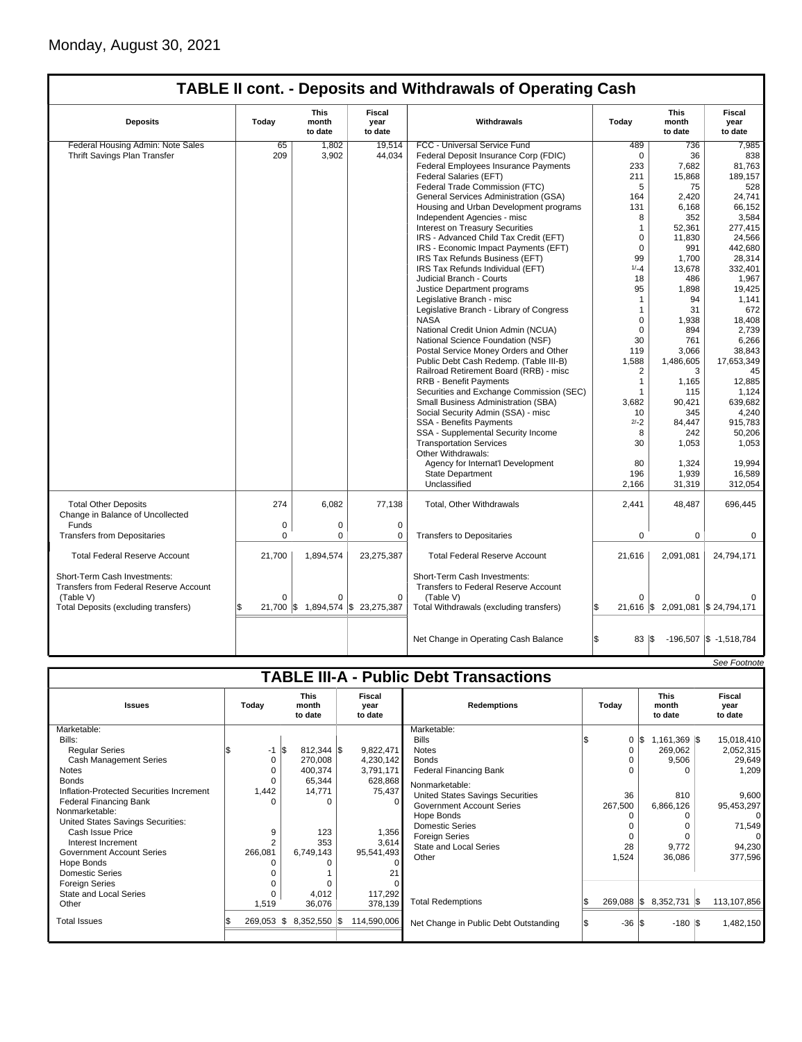|                                                                               |                                                                                      |             |                                   | <b>TABLE II cont. - Deposits and Withdrawals of Operating Cash</b>   |                                  |                                   |                            |
|-------------------------------------------------------------------------------|--------------------------------------------------------------------------------------|-------------|-----------------------------------|----------------------------------------------------------------------|----------------------------------|-----------------------------------|----------------------------|
| <b>Deposits</b>                                                               | <b>This</b><br>Fiscal<br>Today<br>month<br>Withdrawals<br>year<br>to date<br>to date |             | Today                             | <b>This</b><br>month<br>to date                                      | <b>Fiscal</b><br>year<br>to date |                                   |                            |
| Federal Housing Admin: Note Sales                                             | 65                                                                                   | 1,802       | 19,514                            | FCC - Universal Service Fund                                         | 489                              | 736                               | 7,985                      |
| Thrift Savings Plan Transfer                                                  | 209                                                                                  | 3,902       | 44,034                            | Federal Deposit Insurance Corp (FDIC)                                | $\mathbf 0$                      | 36                                | 838                        |
|                                                                               |                                                                                      |             |                                   | Federal Employees Insurance Payments                                 | 233                              | 7,682                             | 81,763                     |
|                                                                               |                                                                                      |             |                                   | Federal Salaries (EFT)                                               | 211                              | 15,868                            | 189.157                    |
|                                                                               |                                                                                      |             |                                   | Federal Trade Commission (FTC)                                       | 5                                | 75                                | 528                        |
|                                                                               |                                                                                      |             |                                   | General Services Administration (GSA)                                | 164                              | 2,420                             | 24,741                     |
|                                                                               |                                                                                      |             |                                   | Housing and Urban Development programs                               | 131                              | 6,168                             | 66,152                     |
|                                                                               |                                                                                      |             |                                   | Independent Agencies - misc                                          | 8                                | 352                               | 3,584                      |
|                                                                               |                                                                                      |             |                                   | <b>Interest on Treasury Securities</b>                               | $\mathbf{1}$                     | 52,361                            | 277,415                    |
|                                                                               |                                                                                      |             |                                   | IRS - Advanced Child Tax Credit (EFT)                                | 0                                | 11,830                            | 24,566                     |
|                                                                               |                                                                                      |             |                                   | IRS - Economic Impact Payments (EFT)                                 | $\mathbf 0$                      | 991                               | 442,680                    |
|                                                                               |                                                                                      |             |                                   | IRS Tax Refunds Business (EFT)                                       | 99                               | 1,700                             | 28.314                     |
|                                                                               |                                                                                      |             |                                   | IRS Tax Refunds Individual (EFT)                                     | $1/-4$                           | 13,678                            | 332,401                    |
|                                                                               |                                                                                      |             |                                   | Judicial Branch - Courts                                             | 18                               | 486                               | 1,967                      |
|                                                                               |                                                                                      |             |                                   | Justice Department programs                                          | 95                               | 1,898                             | 19,425                     |
|                                                                               |                                                                                      |             |                                   | Legislative Branch - misc                                            | $\mathbf{1}$                     | 94                                | 1,141                      |
|                                                                               |                                                                                      |             |                                   | Legislative Branch - Library of Congress                             | 1                                | 31                                | 672                        |
|                                                                               |                                                                                      |             |                                   | <b>NASA</b>                                                          | 0                                | 1,938                             | 18,408                     |
|                                                                               |                                                                                      |             |                                   |                                                                      | $\Omega$                         | 894                               | 2.739                      |
|                                                                               |                                                                                      |             |                                   | National Credit Union Admin (NCUA)                                   |                                  |                                   | 6,266                      |
|                                                                               |                                                                                      |             |                                   | National Science Foundation (NSF)                                    | 30                               | 761                               |                            |
|                                                                               |                                                                                      |             |                                   | Postal Service Money Orders and Other                                | 119                              | 3,066                             | 38,843                     |
|                                                                               |                                                                                      |             |                                   | Public Debt Cash Redemp. (Table III-B)                               | 1,588                            | 1,486,605                         | 17,653,349                 |
|                                                                               |                                                                                      |             |                                   | Railroad Retirement Board (RRB) - misc                               | 2                                | 3                                 | 45                         |
|                                                                               |                                                                                      |             |                                   | <b>RRB - Benefit Payments</b>                                        | 1                                | 1,165                             | 12,885                     |
|                                                                               |                                                                                      |             |                                   | Securities and Exchange Commission (SEC)                             | 1                                | 115                               | 1,124                      |
|                                                                               |                                                                                      |             |                                   | Small Business Administration (SBA)                                  | 3.682                            | 90.421                            | 639.682                    |
|                                                                               |                                                                                      |             |                                   | Social Security Admin (SSA) - misc                                   | 10                               | 345                               | 4,240                      |
|                                                                               |                                                                                      |             |                                   | SSA - Benefits Payments                                              | $2/-2$                           | 84,447                            | 915,783                    |
|                                                                               |                                                                                      |             |                                   | SSA - Supplemental Security Income                                   | 8                                | 242                               | 50,206                     |
|                                                                               |                                                                                      |             |                                   | <b>Transportation Services</b>                                       | 30                               | 1,053                             | 1,053                      |
|                                                                               |                                                                                      |             |                                   | Other Withdrawals:                                                   |                                  |                                   |                            |
|                                                                               |                                                                                      |             |                                   | Agency for Internat'l Development                                    | 80                               | 1,324                             | 19,994                     |
|                                                                               |                                                                                      |             |                                   | <b>State Department</b>                                              | 196                              | 1,939                             | 16,589                     |
|                                                                               |                                                                                      |             |                                   | Unclassified                                                         | 2,166                            | 31,319                            | 312,054                    |
| <b>Total Other Deposits</b><br>Change in Balance of Uncollected               | 274                                                                                  | 6.082       | 77,138                            | <b>Total, Other Withdrawals</b>                                      | 2,441                            | 48,487                            | 696,445                    |
| Funds                                                                         | 0                                                                                    | $\mathbf 0$ | $\mathbf 0$                       |                                                                      |                                  |                                   |                            |
| <b>Transfers from Depositaries</b>                                            | $\mathbf 0$                                                                          | $\mathbf 0$ | 0                                 | <b>Transfers to Depositaries</b>                                     | 0                                | $\mathbf 0$                       | $\mathbf 0$                |
|                                                                               |                                                                                      |             |                                   |                                                                      |                                  |                                   |                            |
| <b>Total Federal Reserve Account</b>                                          | 21,700                                                                               | 1,894,574   | 23,275,387                        | <b>Total Federal Reserve Account</b>                                 | 21,616                           | 2,091,081                         | 24,794,171                 |
| Short-Term Cash Investments:<br><b>Transfers from Federal Reserve Account</b> |                                                                                      |             |                                   | Short-Term Cash Investments:<br>Transfers to Federal Reserve Account |                                  |                                   |                            |
| (Table V)                                                                     | $\Omega$                                                                             | $\Omega$    | 0                                 | (Table V)                                                            | 0                                | $\Omega$                          |                            |
| Total Deposits (excluding transfers)                                          |                                                                                      |             | 21,700 \$ 1,894,574 \$ 23,275,387 | Total Withdrawals (excluding transfers)                              |                                  | 21,616 \$ 2,091,081 \$ 24,794,171 |                            |
|                                                                               |                                                                                      |             |                                   | Net Change in Operating Cash Balance                                 | l\$<br>83   \$                   |                                   | $-196,507$ \$ $-1,518,784$ |
|                                                                               |                                                                                      |             |                                   |                                                                      |                                  |                                   |                            |

|                                          |         |                 |                                 |                                                 |             |                                               |  |                                 |                  |                           |  | See Footnote   |
|------------------------------------------|---------|-----------------|---------------------------------|-------------------------------------------------|-------------|-----------------------------------------------|--|---------------------------------|------------------|---------------------------|--|----------------|
|                                          |         |                 |                                 |                                                 |             | <b>TABLE III-A - Public Debt Transactions</b> |  |                                 |                  |                           |  |                |
| <b>Issues</b>                            | Today   |                 | <b>This</b><br>month<br>to date | Fiscal<br><b>Redemptions</b><br>year<br>to date |             | Today                                         |  | <b>This</b><br>month<br>to date |                  | Fiscal<br>year<br>to date |  |                |
| Marketable:                              |         |                 |                                 |                                                 |             | Marketable:                                   |  |                                 |                  |                           |  |                |
| Bills:                                   |         |                 |                                 |                                                 |             | <b>Bills</b>                                  |  |                                 | $0 \,$ $\upbeta$ | 1,161,369 \$              |  | 15,018,410     |
| <b>Regular Series</b>                    |         | $-1$ $\sqrt{3}$ | $812,344$ \$                    |                                                 | 9,822,471   | <b>Notes</b>                                  |  | 0                               |                  | 269,062                   |  | 2,052,315      |
| <b>Cash Management Series</b>            |         | $\Omega$        | 270,008                         |                                                 | 4,230,142   | <b>Bonds</b>                                  |  |                                 |                  | 9,506                     |  | 29,649         |
| <b>Notes</b>                             |         |                 | 400,374                         |                                                 | 3,791,171   | <b>Federal Financing Bank</b>                 |  |                                 |                  |                           |  | 1,209          |
| <b>Bonds</b>                             |         | 0               | 65,344                          |                                                 | 628,868     | Nonmarketable:                                |  |                                 |                  |                           |  |                |
| Inflation-Protected Securities Increment |         | 1,442           | 14,771                          |                                                 | 75,437      | <b>United States Savings Securities</b>       |  | 36                              |                  | 810                       |  | 9,600          |
| <b>Federal Financing Bank</b>            |         |                 | O                               |                                                 | 0           | <b>Government Account Series</b>              |  | 267,500                         |                  | 6,866,126                 |  | 95,453,297     |
| Nonmarketable:                           |         |                 |                                 |                                                 |             | Hope Bonds                                    |  |                                 |                  |                           |  | $\overline{0}$ |
| United States Savings Securities:        |         |                 |                                 |                                                 |             | <b>Domestic Series</b>                        |  |                                 |                  |                           |  | 71,549         |
| Cash Issue Price                         |         | 9               | 123                             |                                                 | 1,356       | <b>Foreign Series</b>                         |  |                                 |                  |                           |  | $\Omega$       |
| Interest Increment                       |         | $\overline{2}$  | 353                             |                                                 | 3,614       | <b>State and Local Series</b>                 |  | 28                              |                  | 9,772                     |  | 94,230         |
| <b>Government Account Series</b>         | 266,081 |                 | 6,749,143                       |                                                 | 95,541,493  | Other                                         |  | 1,524                           |                  | 36,086                    |  | 377,596        |
| Hope Bonds                               |         |                 |                                 |                                                 |             |                                               |  |                                 |                  |                           |  |                |
| <b>Domestic Series</b>                   |         |                 |                                 |                                                 |             |                                               |  |                                 |                  |                           |  |                |
| <b>Foreign Series</b>                    |         |                 |                                 |                                                 |             |                                               |  |                                 |                  |                           |  |                |
| State and Local Series                   |         |                 | 4,012                           |                                                 | 117,292     |                                               |  |                                 |                  |                           |  |                |
| Other                                    | 1,519   |                 | 36,076                          |                                                 | 378,139     | <b>Total Redemptions</b>                      |  | $269,088$ \$                    |                  | 8,352,731 \$              |  | 113,107,856    |
| <b>Total Issues</b>                      | 269,053 | IS.             | 8,352,550 \$                    |                                                 | 114,590,006 | Net Change in Public Debt Outstanding         |  | $-36$ $\sqrt{3}$                |                  | $-180$ S                  |  | 1,482,150      |
|                                          |         |                 |                                 |                                                 |             |                                               |  |                                 |                  |                           |  |                |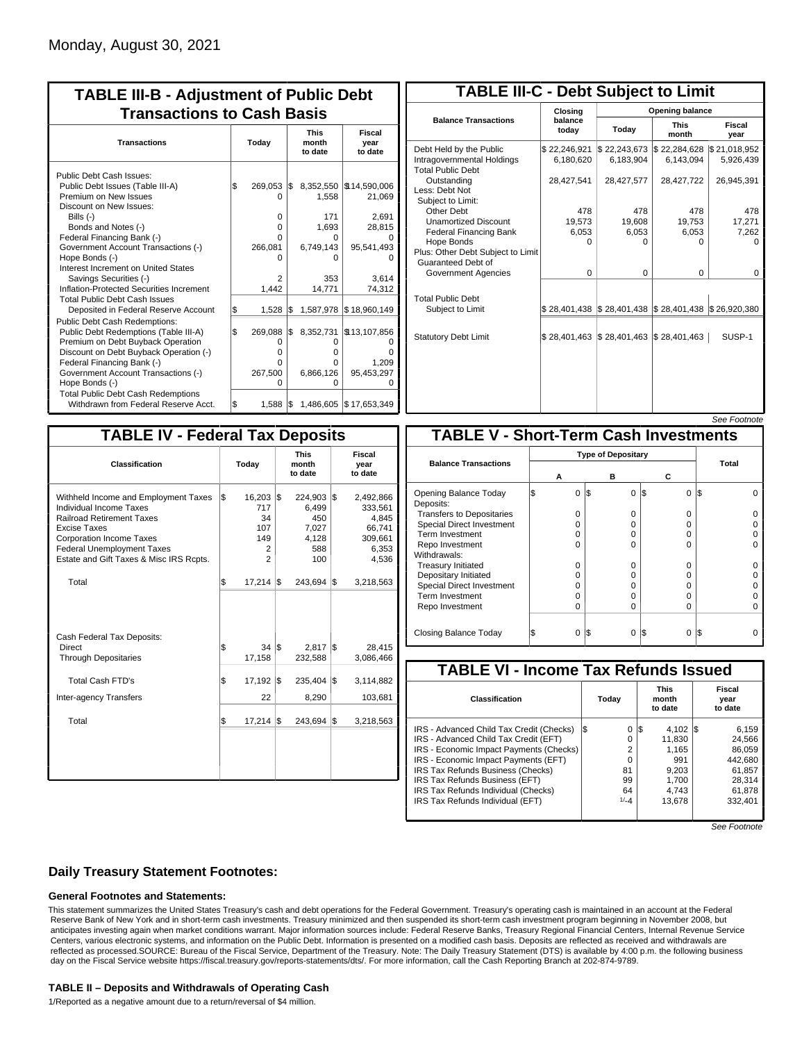| <b>TABLE III-B - Adjustment of Public Debt</b><br><b>Transactions to Cash Basis</b>                                                                                                                                                                                                                                                                                                                |       |                                                                  |     |                                                               |                                                                                        |  |  |  |                                 |  |                                  |
|----------------------------------------------------------------------------------------------------------------------------------------------------------------------------------------------------------------------------------------------------------------------------------------------------------------------------------------------------------------------------------------------------|-------|------------------------------------------------------------------|-----|---------------------------------------------------------------|----------------------------------------------------------------------------------------|--|--|--|---------------------------------|--|----------------------------------|
| <b>Transactions</b>                                                                                                                                                                                                                                                                                                                                                                                | Today |                                                                  |     |                                                               |                                                                                        |  |  |  | <b>This</b><br>month<br>to date |  | <b>Fiscal</b><br>year<br>to date |
| Public Debt Cash Issues:<br>Public Debt Issues (Table III-A)<br>Premium on New Issues<br>Discount on New Issues:<br>Bills $(-)$<br>Bonds and Notes (-)<br>Federal Financing Bank (-)<br>Government Account Transactions (-)<br>Hope Bonds (-)<br>Interest Increment on United States<br>Savings Securities (-)<br>Inflation-Protected Securities Increment<br><b>Total Public Debt Cash Issues</b> | \$    | 269,053<br>0<br>0<br>$\Omega$<br>0<br>266,081<br>n<br>2<br>1,442 | I\$ | 1,558<br>171<br>1,693<br>U<br>6,749,143<br>o<br>353<br>14,771 | 8,352,550   \$14,590,006<br>21,069<br>2,691<br>28,815<br>95,541,493<br>3.614<br>74,312 |  |  |  |                                 |  |                                  |
| Deposited in Federal Reserve Account                                                                                                                                                                                                                                                                                                                                                               | S.    | 1,528                                                            | l\$ | 1,587,978                                                     | \$18,960,149                                                                           |  |  |  |                                 |  |                                  |
| <b>Public Debt Cash Redemptions:</b><br>Public Debt Redemptions (Table III-A)<br>Premium on Debt Buyback Operation<br>Discount on Debt Buyback Operation (-)<br>Federal Financing Bank (-)<br>Government Account Transactions (-)<br>Hope Bonds (-)<br><b>Total Public Debt Cash Redemptions</b>                                                                                                   | l\$   | 269,088<br>0<br>$\Omega$<br>O<br>267,500<br>O                    | 1\$ | 8,352,731<br>O<br>o<br>0<br>6,866,126<br>o                    | \$13,107,856<br>ŋ<br>1,209<br>95,453,297<br>$\Omega$                                   |  |  |  |                                 |  |                                  |
| Withdrawn from Federal Reserve Acct.                                                                                                                                                                                                                                                                                                                                                               | l\$   | 1,588                                                            | l\$ |                                                               | 1,486,605   \$17,653,349                                                               |  |  |  |                                 |  |                                  |

| <b>TABLE III-C - Debt Subject to Limit</b>                                        |                             |                                                                                                     |                           |                           |  |  |  |  |  |  |
|-----------------------------------------------------------------------------------|-----------------------------|-----------------------------------------------------------------------------------------------------|---------------------------|---------------------------|--|--|--|--|--|--|
|                                                                                   | Closing                     | Opening balance                                                                                     |                           |                           |  |  |  |  |  |  |
| <b>Balance Transactions</b>                                                       | balance<br>today            | Today                                                                                               | <b>This</b><br>month      | Fiscal<br>year            |  |  |  |  |  |  |
| Debt Held by the Public<br>Intragovernmental Holdings<br><b>Total Public Debt</b> | \$22,246,921<br>6,180,620   | \$22,243,673<br>6,183,904                                                                           | \$22,284,628<br>6,143,094 | \$21,018,952<br>5,926,439 |  |  |  |  |  |  |
| Outstanding<br>Less: Debt Not<br>Subject to Limit:                                | 28,427,541                  | 28,427,577                                                                                          | 28,427,722                | 26,945,391                |  |  |  |  |  |  |
| Other Debt                                                                        | 478                         | 478                                                                                                 | 478                       | 478                       |  |  |  |  |  |  |
| <b>Unamortized Discount</b>                                                       | 19,573                      | 19,608                                                                                              | 19,753                    | 17,271                    |  |  |  |  |  |  |
| <b>Federal Financing Bank</b>                                                     | 6,053                       | 6,053                                                                                               | 6,053                     | 7,262                     |  |  |  |  |  |  |
| Hope Bonds<br>Plus: Other Debt Subject to Limit<br>Guaranteed Debt of             | 0                           | O                                                                                                   | 0                         | o                         |  |  |  |  |  |  |
| Government Agencies                                                               | $\Omega$                    | $\Omega$                                                                                            | 0                         | 0                         |  |  |  |  |  |  |
| <b>Total Public Debt</b><br>Subject to Limit                                      |                             | $\frac{1}{2}$ 28,401,438 $\frac{1}{2}$ 28,401,438 $\frac{1}{2}$ 28,401,438 $\frac{1}{2}$ 26,920,380 |                           |                           |  |  |  |  |  |  |
| <b>Statutory Debt Limit</b>                                                       | $$28,401,463$ $$28,401,463$ |                                                                                                     | $\$28,401,463$            | SUSP-1                    |  |  |  |  |  |  |
|                                                                                   |                             |                                                                                                     |                           |                           |  |  |  |  |  |  |

| See Footnote |
|--------------|
|--------------|

| <b>TABLE IV - Federal Tax Deposits</b>                                                                                                                                                                                                 |     |                                                               |     |                                                            |     |                                                                      |  |  |
|----------------------------------------------------------------------------------------------------------------------------------------------------------------------------------------------------------------------------------------|-----|---------------------------------------------------------------|-----|------------------------------------------------------------|-----|----------------------------------------------------------------------|--|--|
| Classification                                                                                                                                                                                                                         |     | Today                                                         |     | <b>This</b><br>month<br>to date                            |     | Fiscal<br>year<br>to date                                            |  |  |
| Withheld Income and Employment Taxes<br>Individual Income Taxes<br><b>Railroad Retirement Taxes</b><br>Excise Taxes<br><b>Corporation Income Taxes</b><br><b>Federal Unemployment Taxes</b><br>Estate and Gift Taxes & Misc IRS Rcpts. | l\$ | $16,203$ \$<br>717<br>34<br>107<br>149<br>2<br>$\overline{2}$ |     | 224,903 \$<br>6,499<br>450<br>7.027<br>4,128<br>588<br>100 |     | 2,492,866<br>333,561<br>4,845<br>66,741<br>309,661<br>6,353<br>4,536 |  |  |
| Total                                                                                                                                                                                                                                  | \$  | $17,214$ $\sqrt{5}$                                           |     | 243,694                                                    | 1\$ | 3,218,563                                                            |  |  |
| Cash Federal Tax Deposits:<br>Direct<br><b>Through Depositaries</b>                                                                                                                                                                    | \$  | 34 S<br>17,158                                                |     | 2,817<br>232,588                                           | l\$ | 28,415<br>3,086,466                                                  |  |  |
| <b>Total Cash FTD's</b><br>Inter-agency Transfers                                                                                                                                                                                      | \$  | 17,192<br>22                                                  | l\$ | 235,404<br>8,290                                           | 1\$ | 3,114,882<br>103,681                                                 |  |  |
| Total                                                                                                                                                                                                                                  | \$  | $17,214$ $\sqrt{ }$                                           |     | 243,694                                                    | 1\$ | 3,218,563                                                            |  |  |
|                                                                                                                                                                                                                                        |     |                                                               |     |                                                            |     |                                                                      |  |  |

|                                              |          |                           |          |                 | ,,,,,,,,,,, |  |  |  |  |
|----------------------------------------------|----------|---------------------------|----------|-----------------|-------------|--|--|--|--|
| <b>TABLE V - Short-Term Cash Investments</b> |          |                           |          |                 |             |  |  |  |  |
|                                              |          | <b>Type of Depositary</b> |          |                 |             |  |  |  |  |
| <b>Balance Transactions</b>                  |          |                           |          |                 | Total       |  |  |  |  |
|                                              | А        |                           | в        | С               |             |  |  |  |  |
| Opening Balance Today<br>Deposits:           | 0        | l\$                       | 0        | 1\$<br>0        | 1\$         |  |  |  |  |
| <b>Transfers to Depositaries</b>             | O        |                           | 0        | 0               |             |  |  |  |  |
| <b>Special Direct Investment</b>             | 0        |                           | O        | 0               |             |  |  |  |  |
| <b>Term Investment</b>                       | 0        |                           | 0        | 0               |             |  |  |  |  |
| Repo Investment                              | O        |                           | 0        | O               |             |  |  |  |  |
| Withdrawals:                                 |          |                           |          |                 |             |  |  |  |  |
| <b>Treasury Initiated</b>                    | 0        |                           | 0        | 0               |             |  |  |  |  |
| Depositary Initiated                         | O        |                           | O        | O               |             |  |  |  |  |
| Special Direct Investment                    | Ω        |                           | O        | 0               |             |  |  |  |  |
| <b>Term Investment</b>                       | O        |                           | O        | O               |             |  |  |  |  |
| Repo Investment                              | 0        |                           | 0        | 0               |             |  |  |  |  |
|                                              |          |                           |          |                 |             |  |  |  |  |
| Closing Balance Today                        | $\Omega$ | I\$                       | $\Omega$ | I\$<br>$\Omega$ | 1\$         |  |  |  |  |

| <b>TABLE VI - Income Tax Refunds Issued</b> |          |  |                                 |                           |  |  |  |  |  |  |
|---------------------------------------------|----------|--|---------------------------------|---------------------------|--|--|--|--|--|--|
| <b>Classification</b>                       | Todav    |  | <b>This</b><br>month<br>to date | Fiscal<br>year<br>to date |  |  |  |  |  |  |
| IRS - Advanced Child Tax Credit (Checks)    | 0<br>l\$ |  | $4,102$ \\$<br>l\$              | 6,159                     |  |  |  |  |  |  |
| IRS - Advanced Child Tax Credit (EFT)       | 0        |  | 11.830                          | 24.566                    |  |  |  |  |  |  |
| IRS - Economic Impact Payments (Checks)     | 2        |  | 1.165                           | 86.059                    |  |  |  |  |  |  |
| IRS - Economic Impact Payments (EFT)        | 0        |  | 991                             | 442,680                   |  |  |  |  |  |  |
| IRS Tax Refunds Business (Checks)           | 81       |  | 9,203                           | 61,857                    |  |  |  |  |  |  |
| IRS Tax Refunds Business (EFT)              | 99       |  | 1,700                           | 28,314                    |  |  |  |  |  |  |
| IRS Tax Refunds Individual (Checks)         | 64       |  | 4.743                           | 61.878                    |  |  |  |  |  |  |
| IRS Tax Refunds Individual (EFT)            | $1/-4$   |  | 13.678                          | 332.401                   |  |  |  |  |  |  |

See Footnote

### **Daily Treasury Statement Footnotes:**

### **General Footnotes and Statements:**

This statement summarizes the United States Treasury's cash and debt operations for the Federal Government. Treasury's operating cash is maintained in an account at the Federal Reserve Bank of New York and in short-term cash investments. Treasury minimized and then suspended its short-term cash investment program beginning in November 2008, but anticipates investing again when market conditions warrant. Major information sources include: Federal Reserve Banks, Treasury Regional Financial Centers, Internal Revenue Service Centers, various electronic systems, and information on the Public Debt. Information is presented on a modified cash basis. Deposits are reflected as received and withdrawals are reflected as processed.SOURCE: Bureau of the Fiscal Service, Department of the Treasury. Note: The Daily Treasury Statement (DTS) is available by 4:00 p.m. the following business day on the Fiscal Service website https://fiscal.treasury.gov/reports-statements/dts/. For more information, call the Cash Reporting Branch at 202-874-9789.

#### **TABLE II – Deposits and Withdrawals of Operating Cash**

1/Reported as a negative amount due to a return/reversal of \$4 million.